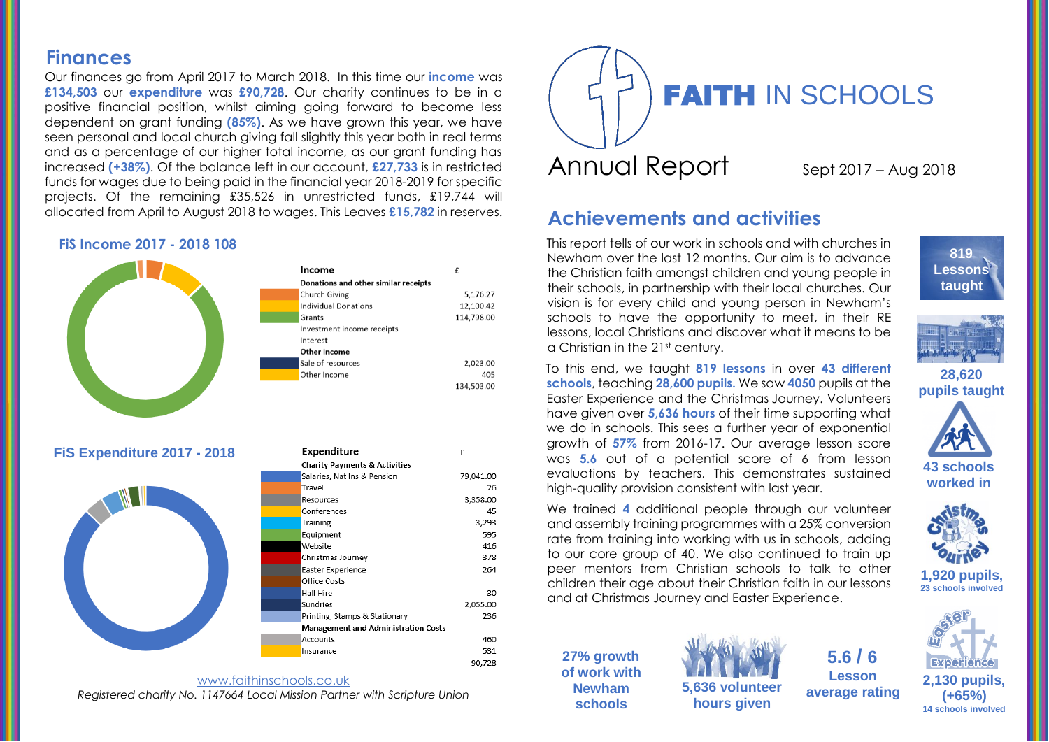## **Finances**

Our finances go from April 2017 to March 2018. In this time our **income** was **£134,503** our **expenditure** was **£90,728**. Our charity continues to be in a positive financial position, whilst aiming going forward to become less dependent on grant funding **(85%)**. As we have grown this year, we have seen personal and local church giving fall slightly this year both in real terms and as a percentage of our higher total income, as our grant funding has increased **(+38%)**. Of the balance left in our account, **£27,733** is in restricted funds for wages due to being paid in the financial year 2018-2019 for specific projects. Of the remaining £35,526 in unrestricted funds, £19,744 will allocated from April to August 2018 to wages. This Leaves **£15,782** in reserves.

#### **FiS Income 2017 - 2018 108**



Expenditure

£

79.041.00

3,358.00

26

45

3,293 595

416

378

264

30

236

460

531 90,728

2,055.00

**FiS Expenditure 2017 - 2018**







# **Achievements and activities**

This report tells of our work in schools and with churches in Newham over the last 12 months. Our aim is to advance the Christian faith amongst children and young people in their schools, in partnership with their local churches. Our vision is for every child and young person in Newham's schools to have the opportunity to meet, in their RE lessons, local Christians and discover what it means to be a Christian in the 21st century.

**819 Lessons taught**



**28,620 pupils taught**

To this end, we taught **819 lessons** in over **43 different schools**, teaching **28,600 pupils.** We saw **4050** pupils at the Easter Experience and the Christmas Journey. Volunteers have given over **5,636 hours** of their time supporting what we do in schools. This sees a further year of exponential growth of **57%** from 2016-17. Our average lesson score was **5.6** out of a potential score of 6 from lesson evaluations by teachers. This demonstrates sustained high-quality provision consistent with last year.



We trained **4** additional people through our volunteer and assembly training programmes with a 25% conversion rate from training into working with us in schools, adding to our core group of 40. We also continued to train up peer mentors from Christian schools to talk to other children their age about their Christian faith in our lessons and at Christmas Journey and Easter Experience.





**5,636 volunteer hours given**

**14 schools involved 5.6 / 6 Lesson average rating**



**(+65%)** 

**1,920 pupils, 23 schools involved**